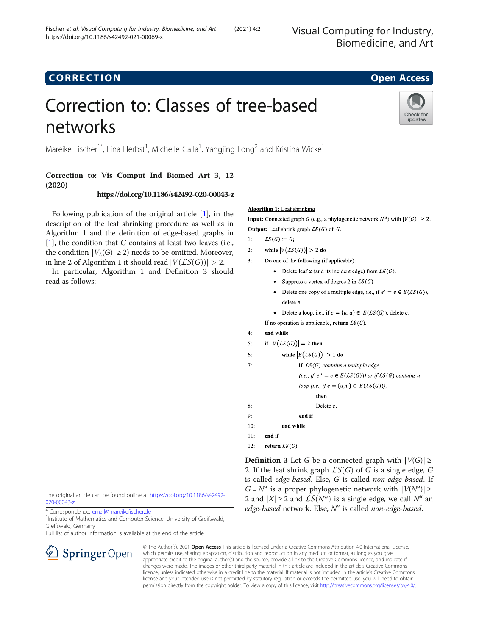Visual Computing for Industry, Biomedicine, and Art

## **CORRECTION CORRECTION**

Check for updates

# Correction to: Classes of tree-based networks

Mareike Fischer<sup>1\*</sup>, Lina Herbst<sup>1</sup>, Michelle Galla<sup>1</sup>, Yangjing Long<sup>2</sup> and Kristina Wicke<sup>1</sup>

## Correction to: Vis Comput Ind Biomed Art 3, 12 (2020)

## https://doi.org/10.1186/s42492-020-00043-z

Following publication of the original article [[1\]](#page-1-0), in the description of the leaf shrinking procedure as well as in Algorithm 1 and the definition of edge-based graphs in  $[1]$  $[1]$ , the condition that G contains at least two leaves (i.e., the condition  $|V_L(G)| \geq 2$ ) needs to be omitted. Moreover, in line 2 of Algorithm 1 it should read  $|V(LS(G))| > 2$ .

In particular, Algorithm 1 and Definition 3 should read as follows:

**Algorithm 1:** Leaf shrinking

**Input:** Connected graph G (e.g., a phylogenetic network  $N^u$ ) with  $|V(G)| \ge 2$ . **Output:** Leaf shrink graph  $LS(G)$  of G.

- $1 \cdot$  $LS(G) := G;$
- $2:$ while  $|V(LS(G))| > 2$  do
- $3:$ Do one of the following (if applicable):
	- Delete leaf x (and its incident edge) from  $LS(G)$ .
	- Suppress a vertex of degree 2 in  $LS(G)$ .
	- Delete one copy of a multiple edge, i.e., if  $e' = e \in E(\mathcal{LS}(G))$ , delete e.
	- Delete a loop, i.e., if  $e = \{u, u\} \in E(\mathcal{LS}(G))$ , delete e. If no operation is applicable, return  $LS(G)$ .

### $4:$ end while

 $7:$ 

- if  $|V(LS(G))|=2$  then  $5:$
- while  $|E(LS(G))| > 1$  do 6:
	- if  $LS(G)$  contains a multiple edge

(i.e., if  $e' = e \in E(\mathcal{LS}(G))$ ) or if  $\mathcal{LS}(G)$  contains a loop (i.e., if  $e = {u, u} \in E(\mathcal{LS}(G))$ ),

then Delete e. 8:  $Q$ end if  $10:$ end while

 $11:$ end if  $12:$ return  $LS(G)$ .

**Definition 3** Let G be a connected graph with  $|V(G)| \ge$ 2. If the leaf shrink graph  $LS(G)$  of G is a single edge, G is called edge-based. Else, G is called non-edge-based. If  $G = N^u$  is a proper phylogenetic network with  $|V(N^u)| \ge$ 2 and  $|X| \ge 2$  and  $LS(N^u)$  is a single edge, we call  $N^u$  an edge-based network. Else,  $N^u$  is called non-edge-based.

The original article can be found online at https://doi.org/10.1186/s42492 [020-00043-z.](https://doi.org/10.1186/s42492-020-00043-z)

\* Correspondence: [email@mareikefischer.de](mailto:email@mareikefischer.de) <sup>1</sup>

<sup>1</sup> Institute of Mathematics and Computer Science, University of Greifswald, Greifswald, Germany

Full list of author information is available at the end of the article



© The Author(s). 2021 Open Access This article is licensed under a Creative Commons Attribution 4.0 International License, which permits use, sharing, adaptation, distribution and reproduction in any medium or format, as long as you give appropriate credit to the original author(s) and the source, provide a link to the Creative Commons licence, and indicate if changes were made. The images or other third party material in this article are included in the article's Creative Commons licence, unless indicated otherwise in a credit line to the material. If material is not included in the article's Creative Commons licence and your intended use is not permitted by statutory regulation or exceeds the permitted use, you will need to obtain permission directly from the copyright holder. To view a copy of this licence, visit <http://creativecommons.org/licenses/by/4.0/>.